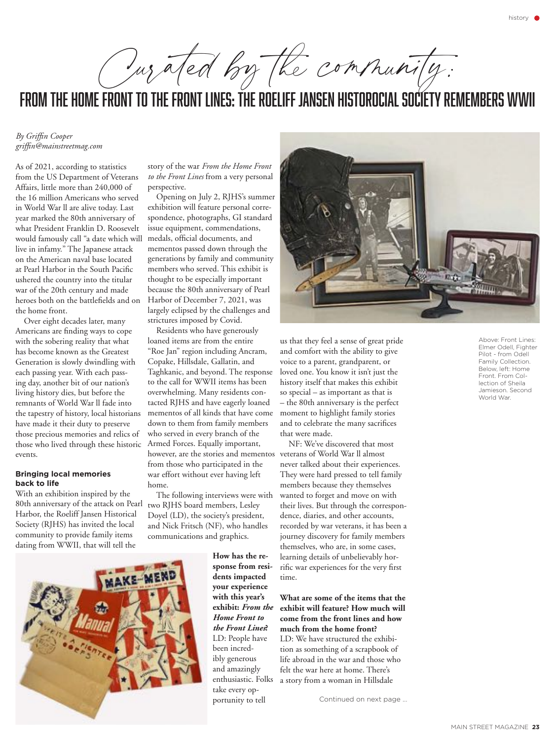Our ated by the community:

# from the home front to the front lines: the roeliff jansen historocial society remembers WWII

*By Griffin Cooper griffin@mainstreetmag.com*

As of 2021, according to statistics from the US Department of Veterans Affairs, little more than 240,000 of the 16 million Americans who served in World War ll are alive today. Last year marked the 80th anniversary of what President Franklin D. Roosevelt would famously call "a date which will live in infamy." The Japanese attack on the American naval base located at Pearl Harbor in the South Pacific ushered the country into the titular war of the 20th century and made heroes both on the battlefields and on the home front.

Over eight decades later, many Americans are finding ways to cope with the sobering reality that what has become known as the Greatest Generation is slowly dwindling with each passing year. With each passing day, another bit of our nation's living history dies, but before the remnants of World War ll fade into the tapestry of history, local historians have made it their duty to preserve those precious memories and relics of those who lived through these historic events.

#### **Bringing local memories back to life**

With an exhibition inspired by the 80th anniversary of the attack on Pearl Harbor, the Roeliff Jansen Historical Society (RJHS) has invited the local community to provide family items dating from WWII, that will tell the

story of the war *From the Home Front to the Front Lines* from a very personal perspective.

Opening on July 2, RJHS's summer exhibition will feature personal correspondence, photographs, GI standard issue equipment, commendations, medals, official documents, and mementos passed down through the generations by family and community members who served. This exhibit is thought to be especially important because the 80th anniversary of Pearl Harbor of December 7, 2021, was largely eclipsed by the challenges and strictures imposed by Covid.

Residents who have generously loaned items are from the entire "Roe Jan" region including Ancram, Copake, Hillsdale, Gallatin, and Taghkanic, and beyond. The response to the call for WWII items has been overwhelming. Many residents contacted RJHS and have eagerly loaned mementos of all kinds that have come down to them from family members who served in every branch of the Armed Forces. Equally important, however, are the stories and mementos from those who participated in the war effort without ever having left home.

The following interviews were with two RJHS board members, Lesley Doyel (LD), the society's president, and Nick Fritsch (NF), who handles communications and graphics.



**How has the response from residents impacted your experience with this year's exhibit:** *From the Home Front to the Front Lines***?** LD: People have been incredibly generous and amazingly enthusiastic. Folks take every opportunity to tell



us that they feel a sense of great pride and comfort with the ability to give voice to a parent, grandparent, or loved one. You know it isn't just the history itself that makes this exhibit so special – as important as that is – the 80th anniversary is the perfect moment to highlight family stories and to celebrate the many sacrifices that were made.

NF: We've discovered that most veterans of World War ll almost never talked about their experiences. They were hard pressed to tell family members because they themselves wanted to forget and move on with their lives. But through the correspondence, diaries, and other accounts, recorded by war veterans, it has been a journey discovery for family members themselves, who are, in some cases, learning details of unbelievably horrific war experiences for the very first time.

## **What are some of the items that the exhibit will feature? How much will come from the front lines and how much from the home front?**

LD: We have structured the exhibition as something of a scrapbook of life abroad in the war and those who felt the war here at home. There's a story from a woman in Hillsdale

Continued on next page …

Above: Front Lines: Elmer Odell, Fighter Pilot - from Odell Family Collection. Below, left: Home Front. From Collection of Sheila Jamieson. Second World War.